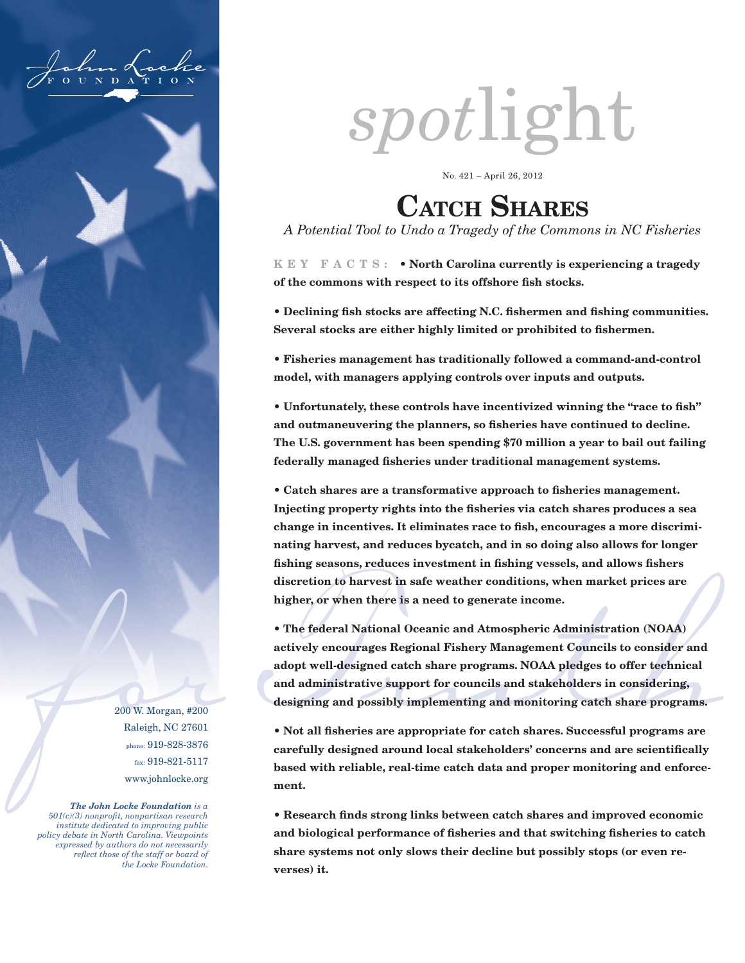

200 W. Morgan, #200 Raleigh, NC 27601 phone: 919-828-3876 fax: 919-821-5117 www.johnlocke.org

*The John Locke Foundation is a 501(c)(3) nonprofit, nonpartisan research institute dedicated to improving public policy debate in North Carolina. Viewpoints expressed by authors do not necessarily reflect those of the staff or board of the Locke Foundation.*

# *spot*light

No. 421 – April 26, 2012

# CATCH SHARES

*A Potential Tool to Undo a Tragedy of the Commons in NC Fisheries*

**K E Y F A C T S : • North Carolina currently is experiencing a tragedy of the commons with respect to its offshore fish stocks.** 

**• Declining fish stocks are affecting N.C. fishermen and fishing communities. Several stocks are either highly limited or prohibited to fishermen.**

**• Fisheries management has traditionally followed a command-and-control model, with managers applying controls over inputs and outputs.**

**• Unfortunately, these controls have incentivized winning the "race to fish" and outmaneuvering the planners, so fisheries have continued to decline. The U.S. government has been spending \$70 million a year to bail out failing federally managed fisheries under traditional management systems.** 

**• Catch shares are a transformative approach to fisheries management. Injecting property rights into the fisheries via catch shares produces a sea change in incentives. It eliminates race to fish, encourages a more discriminating harvest, and reduces bycatch, and in so doing also allows for longer fishing seasons, reduces investment in fishing vessels, and allows fishers discretion to harvest in safe weather conditions, when market prices are higher, or when there is a need to generate income.**

• The federal National Oceanic and Atmospheric Administration (NOAA)<br>actively encourages Regional Fishery Management Councils to consider and<br>adopt well-designed catch share programs. NOAA pledges to offer technical<br>and a **• The federal National Oceanic and Atmospheric Administration (NOAA) actively encourages Regional Fishery Management Councils to consider and adopt well-designed catch share programs. NOAA pledges to offer technical and administrative support for councils and stakeholders in considering, designing and possibly implementing and monitoring catch share programs.**

**• Not all fisheries are appropriate for catch shares. Successful programs are carefully designed around local stakeholders' concerns and are scientifically based with reliable, real-time catch data and proper monitoring and enforcement.**

**• Research finds strong links between catch shares and improved economic and biological performance of fisheries and that switching fisheries to catch share systems not only slows their decline but possibly stops (or even reverses) it.**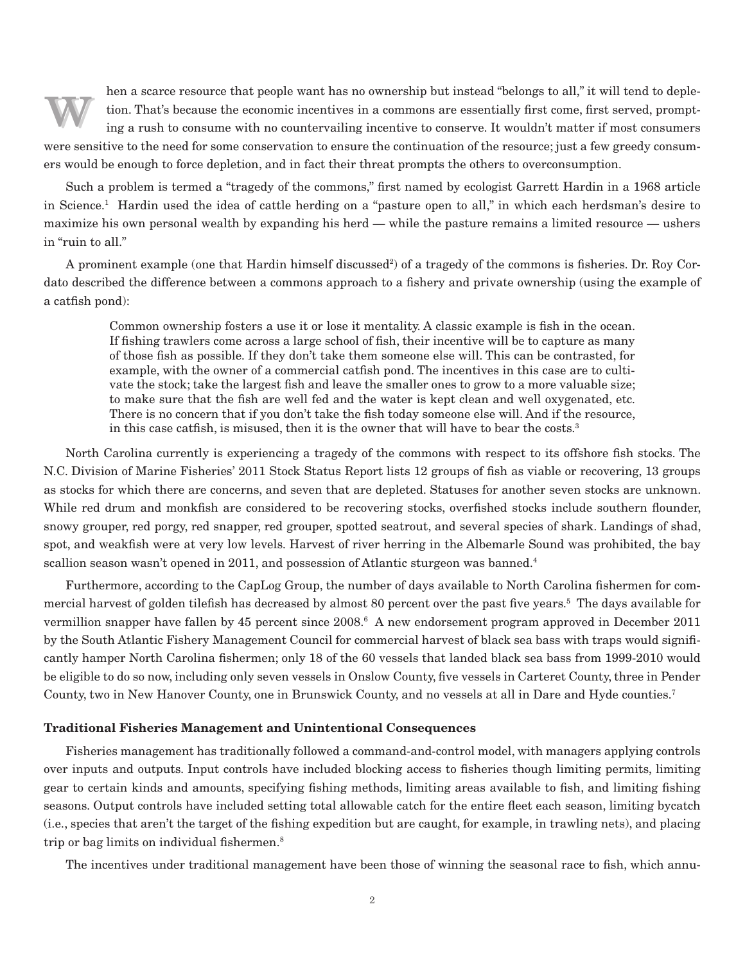hen a scarce resource that people want has no ownership but instead "belongs to all," it will tend to depletion. That's because the economic incentives in a commons are essentially first come, first served, prompting a rus hen a scarce resource that people want has no ownership but instead "belongs to all," it will tend to depletion. That's because the economic incentives in a commons are essentially first come, first served, prompting a rush to consume with no countervailing incentive to conserve. It wouldn't matter if most consumers ers would be enough to force depletion, and in fact their threat prompts the others to overconsumption.

Such a problem is termed a "tragedy of the commons," first named by ecologist Garrett Hardin in a 1968 article in Science.1 Hardin used the idea of cattle herding on a "pasture open to all," in which each herdsman's desire to maximize his own personal wealth by expanding his herd — while the pasture remains a limited resource — ushers in "ruin to all."

A prominent example (one that Hardin himself discussed<sup>2</sup>) of a tragedy of the commons is fisheries. Dr. Roy Cordato described the difference between a commons approach to a fishery and private ownership (using the example of a catfish pond):

> Common ownership fosters a use it or lose it mentality. A classic example is fish in the ocean. If fishing trawlers come across a large school of fish, their incentive will be to capture as many of those fish as possible. If they don't take them someone else will. This can be contrasted, for example, with the owner of a commercial catfish pond. The incentives in this case are to cultivate the stock; take the largest fish and leave the smaller ones to grow to a more valuable size; to make sure that the fish are well fed and the water is kept clean and well oxygenated, etc. There is no concern that if you don't take the fish today someone else will. And if the resource, in this case catfish, is misused, then it is the owner that will have to bear the costs.<sup>3</sup>

North Carolina currently is experiencing a tragedy of the commons with respect to its offshore fish stocks. The N.C. Division of Marine Fisheries' 2011 Stock Status Report lists 12 groups of fish as viable or recovering, 13 groups as stocks for which there are concerns, and seven that are depleted. Statuses for another seven stocks are unknown. While red drum and monkfish are considered to be recovering stocks, overfished stocks include southern flounder, snowy grouper, red porgy, red snapper, red grouper, spotted seatrout, and several species of shark. Landings of shad, spot, and weakfish were at very low levels. Harvest of river herring in the Albemarle Sound was prohibited, the bay scallion season wasn't opened in 2011, and possession of Atlantic sturgeon was banned.<sup>4</sup>

Furthermore, according to the CapLog Group, the number of days available to North Carolina fishermen for commercial harvest of golden tilefish has decreased by almost 80 percent over the past five years.5 The days available for vermillion snapper have fallen by 45 percent since 2008.6 A new endorsement program approved in December 2011 by the South Atlantic Fishery Management Council for commercial harvest of black sea bass with traps would significantly hamper North Carolina fishermen; only 18 of the 60 vessels that landed black sea bass from 1999-2010 would be eligible to do so now, including only seven vessels in Onslow County, five vessels in Carteret County, three in Pender County, two in New Hanover County, one in Brunswick County, and no vessels at all in Dare and Hyde counties.7

## **Traditional Fisheries Management and Unintentional Consequences**

Fisheries management has traditionally followed a command-and-control model, with managers applying controls over inputs and outputs. Input controls have included blocking access to fisheries though limiting permits, limiting gear to certain kinds and amounts, specifying fishing methods, limiting areas available to fish, and limiting fishing seasons. Output controls have included setting total allowable catch for the entire fleet each season, limiting bycatch (i.e., species that aren't the target of the fishing expedition but are caught, for example, in trawling nets), and placing trip or bag limits on individual fishermen.<sup>8</sup>

The incentives under traditional management have been those of winning the seasonal race to fish, which annu-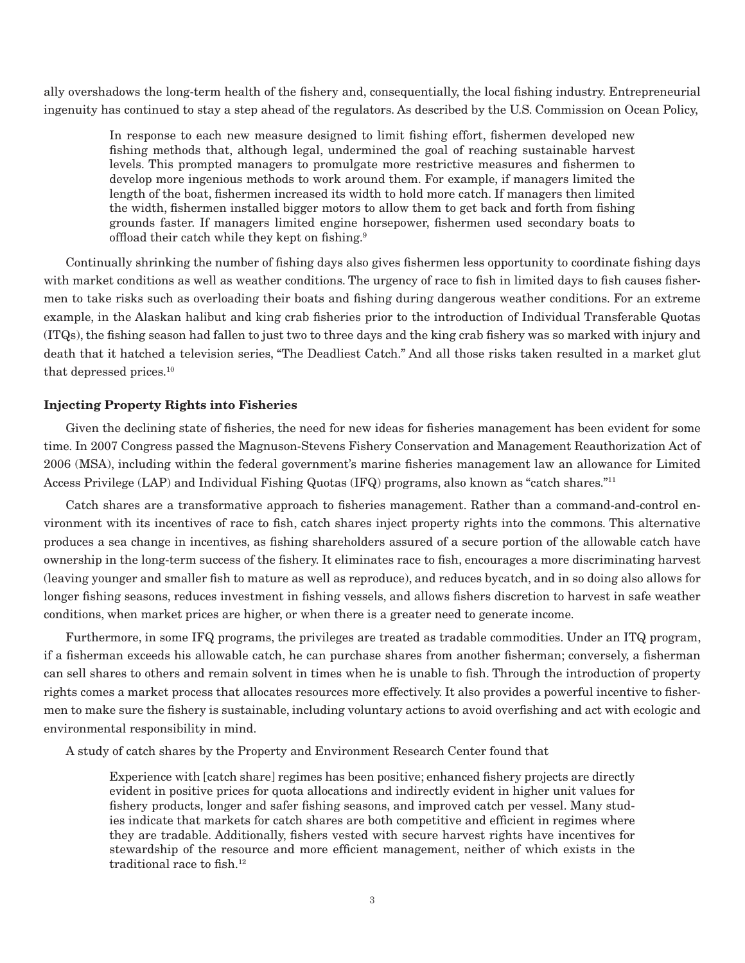ally overshadows the long-term health of the fishery and, consequentially, the local fishing industry. Entrepreneurial ingenuity has continued to stay a step ahead of the regulators. As described by the U.S. Commission on Ocean Policy,

> In response to each new measure designed to limit fishing effort, fishermen developed new fishing methods that, although legal, undermined the goal of reaching sustainable harvest levels. This prompted managers to promulgate more restrictive measures and fishermen to develop more ingenious methods to work around them. For example, if managers limited the length of the boat, fishermen increased its width to hold more catch. If managers then limited the width, fishermen installed bigger motors to allow them to get back and forth from fishing grounds faster. If managers limited engine horsepower, fishermen used secondary boats to offload their catch while they kept on fishing.9

Continually shrinking the number of fishing days also gives fishermen less opportunity to coordinate fishing days with market conditions as well as weather conditions. The urgency of race to fish in limited days to fish causes fishermen to take risks such as overloading their boats and fishing during dangerous weather conditions. For an extreme example, in the Alaskan halibut and king crab fisheries prior to the introduction of Individual Transferable Quotas (ITQs), the fishing season had fallen to just two to three days and the king crab fishery was so marked with injury and death that it hatched a television series, "The Deadliest Catch." And all those risks taken resulted in a market glut that depressed prices.10

# **Injecting Property Rights into Fisheries**

Given the declining state of fisheries, the need for new ideas for fisheries management has been evident for some time. In 2007 Congress passed the Magnuson-Stevens Fishery Conservation and Management Reauthorization Act of 2006 (MSA), including within the federal government's marine fisheries management law an allowance for Limited Access Privilege (LAP) and Individual Fishing Quotas (IFQ) programs, also known as "catch shares."11

Catch shares are a transformative approach to fisheries management. Rather than a command-and-control environment with its incentives of race to fish, catch shares inject property rights into the commons. This alternative produces a sea change in incentives, as fishing shareholders assured of a secure portion of the allowable catch have ownership in the long-term success of the fishery. It eliminates race to fish, encourages a more discriminating harvest (leaving younger and smaller fish to mature as well as reproduce), and reduces bycatch, and in so doing also allows for longer fishing seasons, reduces investment in fishing vessels, and allows fishers discretion to harvest in safe weather conditions, when market prices are higher, or when there is a greater need to generate income.

Furthermore, in some IFQ programs, the privileges are treated as tradable commodities. Under an ITQ program, if a fisherman exceeds his allowable catch, he can purchase shares from another fisherman; conversely, a fisherman can sell shares to others and remain solvent in times when he is unable to fish. Through the introduction of property rights comes a market process that allocates resources more effectively. It also provides a powerful incentive to fishermen to make sure the fishery is sustainable, including voluntary actions to avoid overfishing and act with ecologic and environmental responsibility in mind.

A study of catch shares by the Property and Environment Research Center found that

Experience with [catch share] regimes has been positive; enhanced fishery projects are directly evident in positive prices for quota allocations and indirectly evident in higher unit values for fishery products, longer and safer fishing seasons, and improved catch per vessel. Many studies indicate that markets for catch shares are both competitive and efficient in regimes where they are tradable. Additionally, fishers vested with secure harvest rights have incentives for stewardship of the resource and more efficient management, neither of which exists in the traditional race to fish.12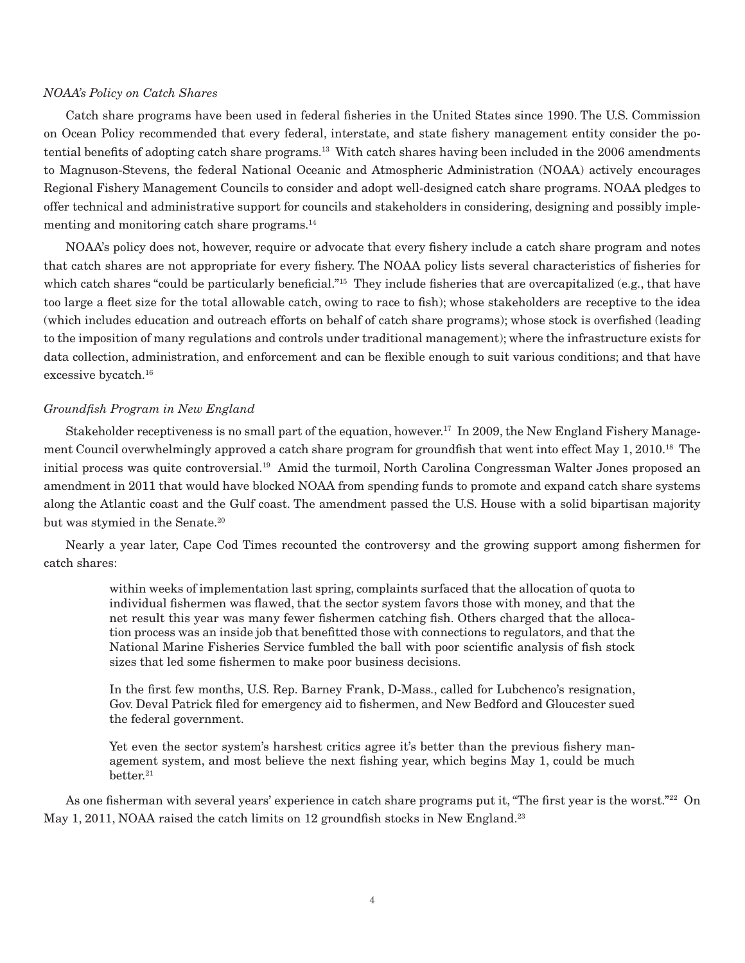#### *NOAA's Policy on Catch Shares*

Catch share programs have been used in federal fisheries in the United States since 1990. The U.S. Commission on Ocean Policy recommended that every federal, interstate, and state fishery management entity consider the potential benefits of adopting catch share programs.13 With catch shares having been included in the 2006 amendments to Magnuson-Stevens, the federal National Oceanic and Atmospheric Administration (NOAA) actively encourages Regional Fishery Management Councils to consider and adopt well-designed catch share programs. NOAA pledges to offer technical and administrative support for councils and stakeholders in considering, designing and possibly implementing and monitoring catch share programs.<sup>14</sup>

NOAA's policy does not, however, require or advocate that every fishery include a catch share program and notes that catch shares are not appropriate for every fishery. The NOAA policy lists several characteristics of fisheries for which catch shares "could be particularly beneficial."<sup>15</sup> They include fisheries that are overcapitalized (e.g., that have too large a fleet size for the total allowable catch, owing to race to fish); whose stakeholders are receptive to the idea (which includes education and outreach efforts on behalf of catch share programs); whose stock is overfished (leading to the imposition of many regulations and controls under traditional management); where the infrastructure exists for data collection, administration, and enforcement and can be flexible enough to suit various conditions; and that have excessive bycatch.16

# *Groundfish Program in New England*

Stakeholder receptiveness is no small part of the equation, however.<sup>17</sup> In 2009, the New England Fishery Management Council overwhelmingly approved a catch share program for groundfish that went into effect May 1, 2010.<sup>18</sup> The initial process was quite controversial.19 Amid the turmoil, North Carolina Congressman Walter Jones proposed an amendment in 2011 that would have blocked NOAA from spending funds to promote and expand catch share systems along the Atlantic coast and the Gulf coast. The amendment passed the U.S. House with a solid bipartisan majority but was stymied in the Senate.<sup>20</sup>

Nearly a year later, Cape Cod Times recounted the controversy and the growing support among fishermen for catch shares:

> within weeks of implementation last spring, complaints surfaced that the allocation of quota to individual fishermen was flawed, that the sector system favors those with money, and that the net result this year was many fewer fishermen catching fish. Others charged that the allocation process was an inside job that benefitted those with connections to regulators, and that the National Marine Fisheries Service fumbled the ball with poor scientific analysis of fish stock sizes that led some fishermen to make poor business decisions.

> In the first few months, U.S. Rep. Barney Frank, D-Mass., called for Lubchenco's resignation, Gov. Deval Patrick filed for emergency aid to fishermen, and New Bedford and Gloucester sued the federal government.

> Yet even the sector system's harshest critics agree it's better than the previous fishery management system, and most believe the next fishing year, which begins May 1, could be much better.<sup>21</sup>

As one fisherman with several years' experience in catch share programs put it, "The first year is the worst."22 On May 1, 2011, NOAA raised the catch limits on 12 groundfish stocks in New England.<sup>23</sup>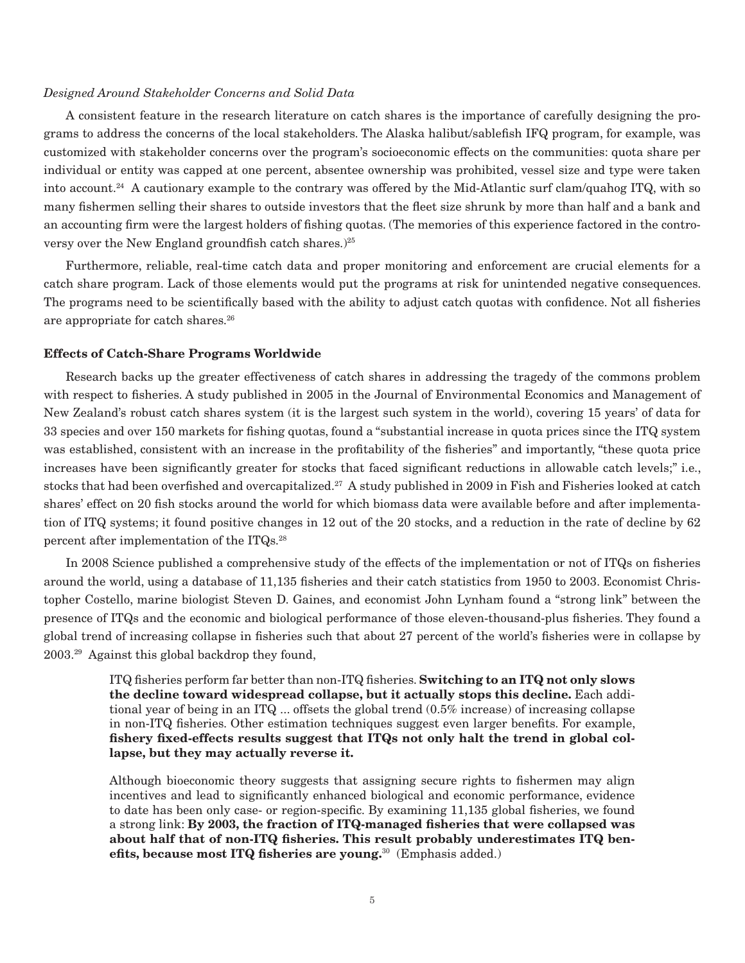#### *Designed Around Stakeholder Concerns and Solid Data*

A consistent feature in the research literature on catch shares is the importance of carefully designing the programs to address the concerns of the local stakeholders. The Alaska halibut/sablefish IFQ program, for example, was customized with stakeholder concerns over the program's socioeconomic effects on the communities: quota share per individual or entity was capped at one percent, absentee ownership was prohibited, vessel size and type were taken into account.<sup>24</sup> A cautionary example to the contrary was offered by the Mid-Atlantic surf clam/quahog ITQ, with so many fishermen selling their shares to outside investors that the fleet size shrunk by more than half and a bank and an accounting firm were the largest holders of fishing quotas. (The memories of this experience factored in the controversy over the New England groundfish catch shares.)<sup>25</sup>

Furthermore, reliable, real-time catch data and proper monitoring and enforcement are crucial elements for a catch share program. Lack of those elements would put the programs at risk for unintended negative consequences. The programs need to be scientifically based with the ability to adjust catch quotas with confidence. Not all fisheries are appropriate for catch shares.<sup>26</sup>

## **Effects of Catch-Share Programs Worldwide**

Research backs up the greater effectiveness of catch shares in addressing the tragedy of the commons problem with respect to fisheries. A study published in 2005 in the Journal of Environmental Economics and Management of New Zealand's robust catch shares system (it is the largest such system in the world), covering 15 years' of data for 33 species and over 150 markets for fishing quotas, found a "substantial increase in quota prices since the ITQ system was established, consistent with an increase in the profitability of the fisheries" and importantly, "these quota price increases have been significantly greater for stocks that faced significant reductions in allowable catch levels;" i.e., stocks that had been overfished and overcapitalized.<sup>27</sup> A study published in 2009 in Fish and Fisheries looked at catch shares' effect on 20 fish stocks around the world for which biomass data were available before and after implementation of ITQ systems; it found positive changes in 12 out of the 20 stocks, and a reduction in the rate of decline by 62 percent after implementation of the ITQs.28

In 2008 Science published a comprehensive study of the effects of the implementation or not of ITQs on fisheries around the world, using a database of 11,135 fisheries and their catch statistics from 1950 to 2003. Economist Christopher Costello, marine biologist Steven D. Gaines, and economist John Lynham found a "strong link" between the presence of ITQs and the economic and biological performance of those eleven-thousand-plus fisheries. They found a global trend of increasing collapse in fisheries such that about 27 percent of the world's fisheries were in collapse by 2003.29 Against this global backdrop they found,

ITQ fisheries perform far better than non-ITQ fisheries. **Switching to an ITQ not only slows the decline toward widespread collapse, but it actually stops this decline.** Each additional year of being in an ITQ ... offsets the global trend (0.5% increase) of increasing collapse in non-ITQ fisheries. Other estimation techniques suggest even larger benefits. For example, **fishery fixed-effects results suggest that ITQs not only halt the trend in global collapse, but they may actually reverse it.**

Although bioeconomic theory suggests that assigning secure rights to fishermen may align incentives and lead to significantly enhanced biological and economic performance, evidence to date has been only case- or region-specific. By examining 11,135 global fisheries, we found a strong link: **By 2003, the fraction of ITQ-managed fisheries that were collapsed was about half that of non-ITQ fisheries. This result probably underestimates ITQ benefits, because most ITQ fisheries are young.**30 (Emphasis added.)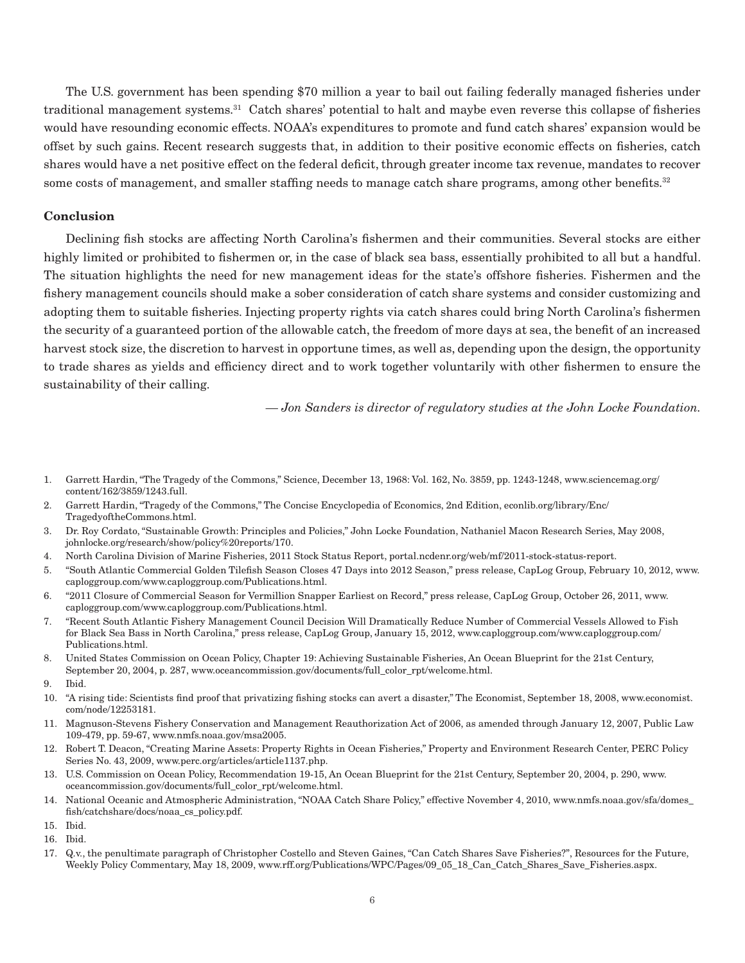The U.S. government has been spending \$70 million a year to bail out failing federally managed fisheries under traditional management systems.31 Catch shares' potential to halt and maybe even reverse this collapse of fisheries would have resounding economic effects. NOAA's expenditures to promote and fund catch shares' expansion would be offset by such gains. Recent research suggests that, in addition to their positive economic effects on fisheries, catch shares would have a net positive effect on the federal deficit, through greater income tax revenue, mandates to recover some costs of management, and smaller staffing needs to manage catch share programs, among other benefits.<sup>32</sup>

# **Conclusion**

Declining fish stocks are affecting North Carolina's fishermen and their communities. Several stocks are either highly limited or prohibited to fishermen or, in the case of black sea bass, essentially prohibited to all but a handful. The situation highlights the need for new management ideas for the state's offshore fisheries. Fishermen and the fishery management councils should make a sober consideration of catch share systems and consider customizing and adopting them to suitable fisheries. Injecting property rights via catch shares could bring North Carolina's fishermen the security of a guaranteed portion of the allowable catch, the freedom of more days at sea, the benefit of an increased harvest stock size, the discretion to harvest in opportune times, as well as, depending upon the design, the opportunity to trade shares as yields and efficiency direct and to work together voluntarily with other fishermen to ensure the sustainability of their calling.

*— Jon Sanders is director of regulatory studies at the John Locke Foundation.*

- 1. Garrett Hardin, "The Tragedy of the Commons," Science, December 13, 1968: Vol. 162, No. 3859, pp. 1243-1248, www.sciencemag.org/ content/162/3859/1243.full.
- 2. Garrett Hardin, "Tragedy of the Commons," The Concise Encyclopedia of Economics, 2nd Edition, econlib.org/library/Enc/ TragedyoftheCommons.html.
- 3. Dr. Roy Cordato, "Sustainable Growth: Principles and Policies," John Locke Foundation, Nathaniel Macon Research Series, May 2008, johnlocke.org/research/show/policy%20reports/170.
- 4. North Carolina Division of Marine Fisheries, 2011 Stock Status Report, portal.ncdenr.org/web/mf/2011-stock-status-report.
- 5. "South Atlantic Commercial Golden Tilefish Season Closes 47 Days into 2012 Season," press release, CapLog Group, February 10, 2012, www. caploggroup.com/www.caploggroup.com/Publications.html.
- 6. "2011 Closure of Commercial Season for Vermillion Snapper Earliest on Record," press release, CapLog Group, October 26, 2011, www. caploggroup.com/www.caploggroup.com/Publications.html.
- 7. "Recent South Atlantic Fishery Management Council Decision Will Dramatically Reduce Number of Commercial Vessels Allowed to Fish for Black Sea Bass in North Carolina," press release, CapLog Group, January 15, 2012, www.caploggroup.com/www.caploggroup.com/ Publications.html.
- 8. United States Commission on Ocean Policy, Chapter 19: Achieving Sustainable Fisheries, An Ocean Blueprint for the 21st Century, September 20, 2004, p. 287, www.oceancommission.gov/documents/full\_color\_rpt/welcome.html.
- 9. Ibid.
- 10. "A rising tide: Scientists find proof that privatizing fishing stocks can avert a disaster," The Economist, September 18, 2008, www.economist. com/node/12253181.
- 11. Magnuson-Stevens Fishery Conservation and Management Reauthorization Act of 2006, as amended through January 12, 2007, Public Law 109-479, pp. 59-67, www.nmfs.noaa.gov/msa2005.
- 12. Robert T. Deacon, "Creating Marine Assets: Property Rights in Ocean Fisheries," Property and Environment Research Center, PERC Policy Series No. 43, 2009, www.perc.org/articles/article1137.php.
- 13. U.S. Commission on Ocean Policy, Recommendation 19-15, An Ocean Blueprint for the 21st Century, September 20, 2004, p. 290, www. oceancommission.gov/documents/full\_color\_rpt/welcome.html.
- 14. National Oceanic and Atmospheric Administration, "NOAA Catch Share Policy," effective November 4, 2010, www.nmfs.noaa.gov/sfa/domes\_ fish/catchshare/docs/noaa\_cs\_policy.pdf.
- 15. Ibid.

17. Q.v., the penultimate paragraph of Christopher Costello and Steven Gaines, "Can Catch Shares Save Fisheries?", Resources for the Future, Weekly Policy Commentary, May 18, 2009, www.rff.org/Publications/WPC/Pages/09\_05\_18\_Can\_Catch\_Shares\_Save\_Fisheries.aspx.

<sup>16.</sup> Ibid.